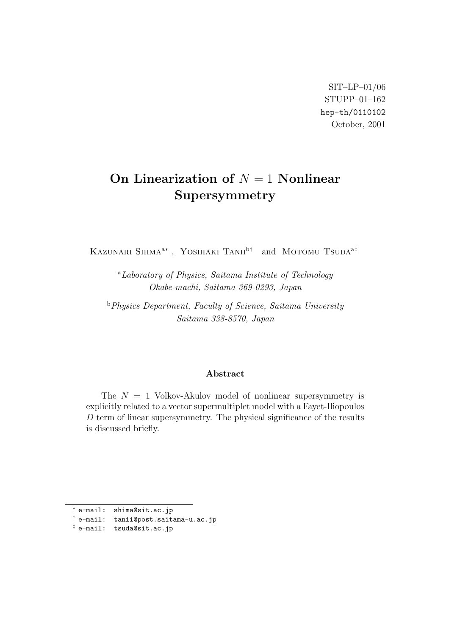SIT–LP–01/06 STUPP–01–162 hep-th/0110102 October, 2001

## **On Linearization of** *N* = 1 **Nonlinear Supersymmetry**

Kazunari Shima<sup>a</sup>*<sup>∗</sup>* , Yoshiaki Tanii<sup>b</sup>*†* and Motomu Tsuda<sup>a</sup>*‡*

<sup>a</sup>*Laboratory of Physics, Saitama Institute of Technology Okabe-machi, Saitama 369-0293, Japan*

<sup>b</sup>*Physics Department, Faculty of Science, Saitama University Saitama 338-8570, Japan*

## **Abstract**

The *N* = 1 Volkov-Akulov model of nonlinear supersymmetry is explicitly related to a vector supermultiplet model with a Fayet-Iliopoulos *D* term of linear supersymmetry. The physical significance of the results is discussed briefly.

*<sup>∗</sup>* e-mail: shima@sit.ac.jp

*<sup>†</sup>* e-mail: tanii@post.saitama-u.ac.jp

*<sup>‡</sup>* e-mail: tsuda@sit.ac.jp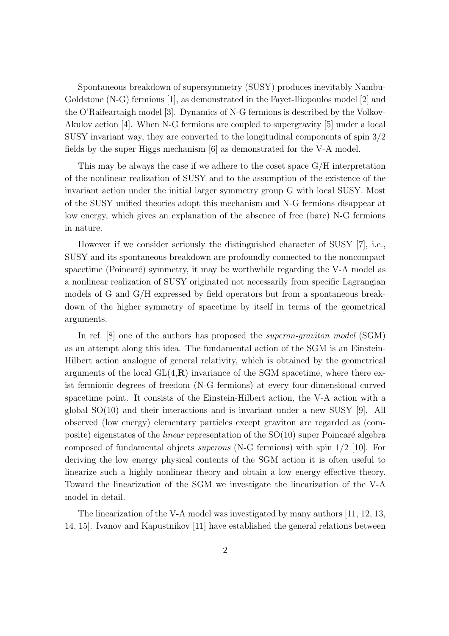Spontaneous breakdown of supersymmetry (SUSY) produces inevitably Nambu-Goldstone (N-G) fermions [1], as demonstrated in the Fayet-Iliopoulos model [2] and the O'Raifeartaigh model [3]. Dynamics of N-G fermions is described by the Volkov-Akulov action [4]. When N-G fermions are coupled to supergravity [5] under a local SUSY invariant way, they are converted to the longitudinal components of spin 3/2 fields by the super Higgs mechanism [6] as demonstrated for the V-A model.

This may be always the case if we adhere to the coset space  $G/H$  interpretation of the nonlinear realization of SUSY and to the assumption of the existence of the invariant action under the initial larger symmetry group G with local SUSY. Most of the SUSY unified theories adopt this mechanism and N-G fermions disappear at low energy, which gives an explanation of the absence of free (bare) N-G fermions in nature.

However if we consider seriously the distinguished character of SUSY [7], i.e., SUSY and its spontaneous breakdown are profoundly connected to the noncompact spacetime (Poincaré) symmetry, it may be worthwhile regarding the V-A model as a nonlinear realization of SUSY originated not necessarily from specific Lagrangian models of G and G/H expressed by field operators but from a spontaneous breakdown of the higher symmetry of spacetime by itself in terms of the geometrical arguments.

In ref. [8] one of the authors has proposed the *superon-graviton model* (SGM) as an attempt along this idea. The fundamental action of the SGM is an Einstein-Hilbert action analogue of general relativity, which is obtained by the geometrical arguments of the local  $GL(4,\mathbf{R})$  invariance of the SGM spacetime, where there exist fermionic degrees of freedom (N-G fermions) at every four-dimensional curved spacetime point. It consists of the Einstein-Hilbert action, the V-A action with a global SO(10) and their interactions and is invariant under a new SUSY [9]. All observed (low energy) elementary particles except graviton are regarded as (composite) eigenstates of the *linear* representation of the SO(10) super Poincaré algebra composed of fundamental objects *superons* (N-G fermions) with spin 1/2 [10]. For deriving the low energy physical contents of the SGM action it is often useful to linearize such a highly nonlinear theory and obtain a low energy effective theory. Toward the linearization of the SGM we investigate the linearization of the V-A model in detail.

The linearization of the V-A model was investigated by many authors [11, 12, 13, 14, 15]. Ivanov and Kapustnikov [11] have established the general relations between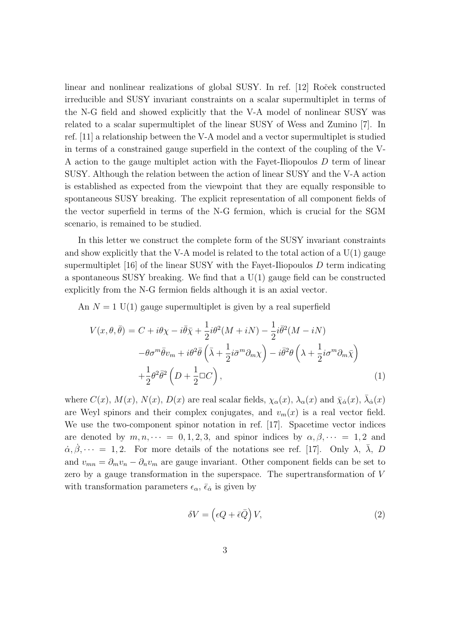linear and nonlinear realizations of global SUSY. In ref. [12] Roček constructed irreducible and SUSY invariant constraints on a scalar supermultiplet in terms of the N-G field and showed explicitly that the V-A model of nonlinear SUSY was related to a scalar supermultiplet of the linear SUSY of Wess and Zumino [7]. In ref. [11] a relationship between the V-A model and a vector supermultiplet is studied in terms of a constrained gauge superfield in the context of the coupling of the V-A action to the gauge multiplet action with the Fayet-Iliopoulos *D* term of linear SUSY. Although the relation between the action of linear SUSY and the V-A action is established as expected from the viewpoint that they are equally responsible to spontaneous SUSY breaking. The explicit representation of all component fields of the vector superfield in terms of the N-G fermion, which is crucial for the SGM scenario, is remained to be studied.

In this letter we construct the complete form of the SUSY invariant constraints and show explicitly that the V-A model is related to the total action of a  $U(1)$  gauge supermultiplet [16] of the linear SUSY with the Fayet-Iliopoulos *D* term indicating a spontaneous SUSY breaking. We find that a  $U(1)$  gauge field can be constructed explicitly from the N-G fermion fields although it is an axial vector.

An  $N = 1$  U(1) gauge supermultiplet is given by a real superfield

$$
V(x,\theta,\bar{\theta}) = C + i\theta\chi - i\bar{\theta}\bar{\chi} + \frac{1}{2}i\theta^2(M+iN) - \frac{1}{2}i\bar{\theta}^2(M-iN)
$$

$$
- \theta\sigma^m\bar{\theta}v_m + i\theta^2\bar{\theta}\left(\bar{\lambda} + \frac{1}{2}i\bar{\sigma}^m\partial_m\chi\right) - i\bar{\theta}^2\theta\left(\lambda + \frac{1}{2}i\sigma^m\partial_m\bar{\chi}\right)
$$

$$
+ \frac{1}{2}\theta^2\bar{\theta}^2\left(D + \frac{1}{2}\Box C\right), \tag{1}
$$

where  $C(x)$ ,  $M(x)$ ,  $N(x)$ ,  $D(x)$  are real scalar fields,  $\chi_{\alpha}(x)$ ,  $\lambda_{\alpha}(x)$  and  $\bar{\chi}_{\dot{\alpha}}(x)$ ,  $\bar{\lambda}_{\dot{\alpha}}(x)$ are Weyl spinors and their complex conjugates, and  $v_m(x)$  is a real vector field. We use the two-component spinor notation in ref. [17]. Spacetime vector indices are denoted by  $m, n, \dots = 0, 1, 2, 3$ , and spinor indices by  $\alpha, \beta, \dots = 1, 2$  and  $\alpha, \beta, \dots = 1, 2$ . For more details of the notations see ref. [17]. Only  $\lambda$ ,  $\overline{\lambda}$ , *D* and  $v_{mn} = \partial_m v_n - \partial_n v_m$  are gauge invariant. Other component fields can be set to zero by a gauge transformation in the superspace. The supertransformation of *V* with transformation parameters  $\epsilon_{\alpha}$ ,  $\bar{\epsilon}_{\dot{\alpha}}$  is given by

$$
\delta V = \left(\epsilon Q + \bar{\epsilon}\bar{Q}\right)V,\tag{2}
$$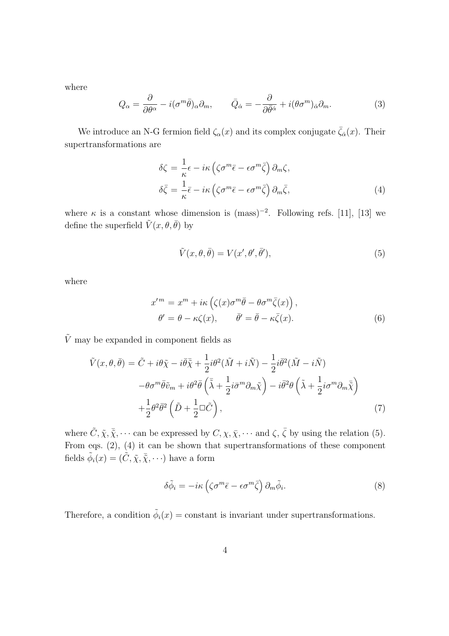where

$$
Q_{\alpha} = \frac{\partial}{\partial \theta^{\alpha}} - i(\sigma^{m}\bar{\theta})_{\alpha}\partial_{m}, \qquad \bar{Q}_{\dot{\alpha}} = -\frac{\partial}{\partial \bar{\theta}^{\dot{\alpha}}} + i(\theta \sigma^{m})_{\dot{\alpha}}\partial_{m}. \tag{3}
$$

We introduce an N-G fermion field  $\zeta_{\alpha}(x)$  and its complex conjugate  $\bar{\zeta}_{\dot{\alpha}}(x)$ . Their supertransformations are

$$
\delta \zeta = \frac{1}{\kappa} \epsilon - i\kappa \left( \zeta \sigma^m \bar{\epsilon} - \epsilon \sigma^m \bar{\zeta} \right) \partial_m \zeta,
$$
  

$$
\delta \bar{\zeta} = \frac{1}{\kappa} \bar{\epsilon} - i\kappa \left( \zeta \sigma^m \bar{\epsilon} - \epsilon \sigma^m \bar{\zeta} \right) \partial_m \bar{\zeta},
$$
 (4)

where  $\kappa$  is a constant whose dimension is  $(mass)^{-2}$ . Following refs. [11], [13] we define the superfield  $\tilde{V}(x, \theta, \bar{\theta})$  by

$$
\tilde{V}(x,\theta,\bar{\theta}) = V(x',\theta',\bar{\theta}'),\tag{5}
$$

where

$$
x'^m = x^m + i\kappa \left( \zeta(x)\sigma^m \bar{\theta} - \theta \sigma^m \bar{\zeta}(x) \right),
$$
  
\n
$$
\theta' = \theta - \kappa \zeta(x), \qquad \bar{\theta}' = \bar{\theta} - \kappa \bar{\zeta}(x).
$$
 (6)

 $\tilde{V}$  may be expanded in component fields as

$$
\tilde{V}(x,\theta,\bar{\theta}) = \tilde{C} + i\theta\tilde{\chi} - i\bar{\theta}\bar{\tilde{\chi}} + \frac{1}{2}i\theta^2(\tilde{M} + i\tilde{N}) - \frac{1}{2}i\bar{\theta}^2(\tilde{M} - i\tilde{N})
$$
\n
$$
-\theta\sigma^m\bar{\theta}\tilde{v}_m + i\theta^2\bar{\theta}\left(\bar{\tilde{\lambda}} + \frac{1}{2}i\bar{\sigma}^m\partial_m\tilde{\chi}\right) - i\bar{\theta}^2\theta\left(\tilde{\lambda} + \frac{1}{2}i\sigma^m\partial_m\bar{\tilde{\chi}}\right)
$$
\n
$$
+\frac{1}{2}\theta^2\bar{\theta}^2\left(\tilde{D} + \frac{1}{2}\Box\tilde{C}\right),
$$
\n(7)

where  $\tilde{C}, \tilde{\chi}, \bar{\tilde{\chi}}, \cdots$  can be expressed by  $C, \chi, \bar{\chi}, \cdots$  and  $\zeta, \bar{\zeta}$  by using the relation (5). From eqs. (2), (4) it can be shown that supertransformations of these component fields  $\tilde{\phi}_i(x) = (\tilde{C}, \tilde{\chi}, \bar{\tilde{\chi}}, \cdots)$  have a form

$$
\delta \tilde{\phi}_i = -i\kappa \left( \zeta \sigma^m \bar{\epsilon} - \epsilon \sigma^m \bar{\zeta} \right) \partial_m \tilde{\phi}_i. \tag{8}
$$

Therefore, a condition  $\tilde{\phi}_i(x) = \text{constant}$  is invariant under supertransformations.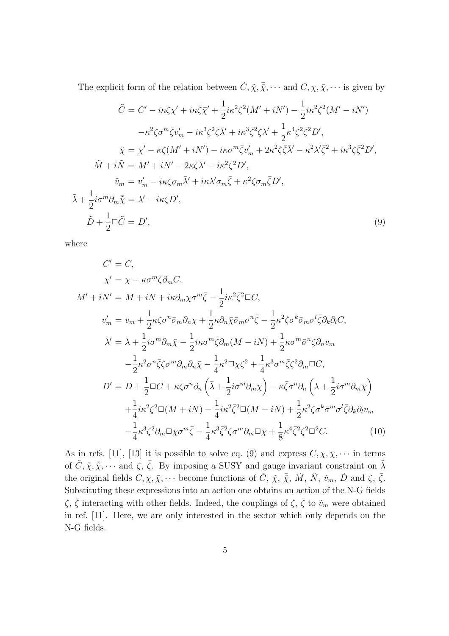The explicit form of the relation between  $\tilde{C}, \tilde{\chi}, \bar{\tilde{\chi}}, \cdots$  and  $C, \chi, \bar{\chi}, \cdots$  is given by

$$
\tilde{C} = C' - i\kappa \zeta \chi' + i\kappa \bar{\zeta} \bar{\chi}' + \frac{1}{2} i\kappa^2 \zeta^2 (M' + iN') - \frac{1}{2} i\kappa^2 \bar{\zeta}^2 (M' - iN')
$$

$$
- \kappa^2 \zeta \sigma^m \bar{\zeta} v_m' - i\kappa^3 \zeta^2 \bar{\zeta} \bar{\lambda}' + i\kappa^3 \bar{\zeta}^2 \zeta \lambda' + \frac{1}{2} \kappa^4 \zeta^2 \bar{\zeta}^2 D',
$$

$$
\tilde{\chi} = \chi' - \kappa \zeta (M' + iN') - i\kappa \sigma^m \bar{\zeta} v_m' + 2\kappa^2 \zeta \bar{\zeta} \bar{\lambda}' - \kappa^2 \lambda' \bar{\zeta}^2 + i\kappa^3 \zeta \bar{\zeta}^2 D',
$$

$$
\tilde{M} + i\tilde{N} = M' + iN' - 2\kappa \bar{\zeta} \bar{\lambda}' - i\kappa^2 \bar{\zeta}^2 D',
$$

$$
\tilde{v}_m = v_m' - i\kappa \zeta \sigma_m \bar{\lambda}' + i\kappa \lambda' \sigma_m \bar{\zeta} + \kappa^2 \zeta \sigma_m \bar{\zeta} D',
$$

$$
\tilde{\lambda} + \frac{1}{2} i\sigma^m \partial_m \bar{\chi} = \lambda' - i\kappa \zeta D',
$$

$$
\tilde{D} + \frac{1}{2} \Box \tilde{C} = D',
$$

$$
(9)
$$

where

$$
C' = C,
$$
  
\n
$$
\chi' = \chi - \kappa \sigma^m \bar{\zeta} \partial_m C,
$$
  
\n
$$
M' + iN' = M + iN + i\kappa \partial_m \chi \sigma^m \bar{\zeta} - \frac{1}{2} i\kappa^2 \bar{\zeta}^2 \Box C,
$$
  
\n
$$
v'_m = v_m + \frac{1}{2} \kappa \zeta \sigma^n \bar{\sigma}_m \partial_n \chi + \frac{1}{2} \kappa \partial_n \bar{\chi} \bar{\sigma}_m \sigma^n \bar{\zeta} - \frac{1}{2} \kappa^2 \zeta \sigma^k \bar{\sigma}_m \sigma^l \bar{\zeta} \partial_k \partial_l C,
$$
  
\n
$$
\chi' = \lambda + \frac{1}{2} i\sigma^m \partial_m \bar{\chi} - \frac{1}{2} i\kappa \sigma^m \bar{\zeta} \partial_m (M - iN) + \frac{1}{2} \kappa \sigma^m \bar{\sigma}^n \zeta \partial_n v_m
$$
  
\n
$$
-\frac{1}{2} \kappa^2 \sigma^n \bar{\zeta} \zeta \sigma^m \partial_m \partial_n \bar{\chi} - \frac{1}{4} \kappa^2 \Box \chi \zeta^2 + \frac{1}{4} \kappa^3 \sigma^m \bar{\zeta} \zeta^2 \partial_m \Box C,
$$
  
\n
$$
D' = D + \frac{1}{2} \Box C + \kappa \zeta \sigma^n \partial_n \left( \bar{\lambda} + \frac{1}{2} i\bar{\sigma}^m \partial_m \chi \right) - \kappa \bar{\zeta} \bar{\sigma}^n \partial_n \left( \lambda + \frac{1}{2} i\sigma^m \partial_m \bar{\chi} \right)
$$
  
\n
$$
+ \frac{1}{4} i\kappa^2 \zeta^2 \Box (M + iN) - \frac{1}{4} i\kappa^2 \bar{\zeta}^2 \Box (M - iN) + \frac{1}{2} \kappa^2 \zeta \sigma^k \bar{\sigma}^m \sigma^l \bar{\zeta} \partial_k \partial_l v_m
$$
  
\n
$$
- \frac{1}{4} \kappa^3 \zeta^2 \partial_m \Box \chi \sigma^m \bar{\zeta} - \frac{1}{4} \kappa^3 \bar{\zeta}^2 \zeta \sigma^m \partial_m \Box \bar{\chi} + \frac{
$$

As in refs. [11], [13] it is possible to solve eq. (9) and express  $C, \chi, \bar{\chi}, \cdots$  in terms of  $\tilde{C}, \tilde{\chi}, \bar{\tilde{\chi}}, \cdots$  and  $\zeta, \bar{\zeta}$ . By imposing a SUSY and gauge invariant constraint on  $\tilde{\lambda}$ the original fields  $C, \chi, \bar{\chi}, \cdots$  become functions of  $\tilde{C}, \tilde{\chi}, \tilde{\chi}, \tilde{M}, \tilde{N}, \tilde{v}_m, \tilde{D}$  and  $\zeta, \bar{\zeta}$ . Substituting these expressions into an action one obtains an action of the N-G fields *ζ*,  $\bar{\zeta}$  interacting with other fields. Indeed, the couplings of *ζ*,  $\bar{\zeta}$  to  $\tilde{v}_m$  were obtained in ref. [11]. Here, we are only interested in the sector which only depends on the N-G fields.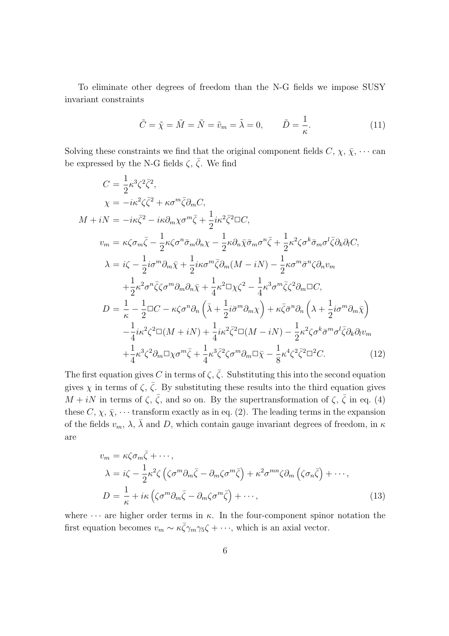To eliminate other degrees of freedom than the N-G fields we impose SUSY invariant constraints

$$
\tilde{C} = \tilde{\chi} = \tilde{M} = \tilde{N} = \tilde{v}_m = \tilde{\lambda} = 0, \qquad \tilde{D} = \frac{1}{\kappa}.
$$
\n(11)

Solving these constraints we find that the original component fields  $C, \chi, \bar{\chi}, \cdots$  can be expressed by the N-G fields  $\zeta$ ,  $\overline{\zeta}$ . We find

$$
C = \frac{1}{2}\kappa^3 \zeta^2 \bar{\zeta}^2,
$$
  
\n
$$
\chi = -i\kappa^2 \zeta \bar{\zeta}^2 + \kappa \sigma^m \bar{\zeta} \partial_m C,
$$
  
\n
$$
M + iN = -i\kappa \bar{\zeta}^2 - i\kappa \partial_m \chi \sigma^m \bar{\zeta} + \frac{1}{2} i\kappa^2 \bar{\zeta}^2 \Box C,
$$
  
\n
$$
v_m = \kappa \zeta \sigma_m \bar{\zeta} - \frac{1}{2} \kappa \zeta \sigma^n \bar{\sigma}_m \partial_n \chi - \frac{1}{2} \kappa \partial_n \bar{\chi} \bar{\sigma}_m \sigma^n \bar{\zeta} + \frac{1}{2} \kappa^2 \zeta \sigma^k \bar{\sigma}_m \sigma^l \bar{\zeta} \partial_k \partial_l C,
$$
  
\n
$$
\lambda = i\zeta - \frac{1}{2} i\sigma^m \partial_m \bar{\chi} + \frac{1}{2} i\kappa \sigma^m \bar{\zeta} \partial_m (M - iN) - \frac{1}{2} \kappa \sigma^m \bar{\sigma}^n \zeta \partial_n v_m
$$
  
\n
$$
+ \frac{1}{2} \kappa^2 \sigma^n \bar{\zeta} \zeta \sigma^m \partial_m \partial_n \bar{\chi} + \frac{1}{4} \kappa^2 \Box \chi \zeta^2 - \frac{1}{4} \kappa^3 \sigma^m \bar{\zeta} \zeta^2 \partial_m \Box C,
$$
  
\n
$$
D = \frac{1}{\kappa} - \frac{1}{2} \Box C - \kappa \zeta \sigma^n \partial_n \left( \bar{\lambda} + \frac{1}{2} i \bar{\sigma}^m \partial_m \chi \right) + \kappa \bar{\zeta} \bar{\sigma}^n \partial_n \left( \lambda + \frac{1}{2} i \sigma^m \partial_m \bar{\chi} \right)
$$
  
\n
$$
- \frac{1}{4} i\kappa^2 \zeta^2 \Box (M + iN) + \frac{1}{4} i\kappa^2 \bar{\zeta}^2 \Box (M - iN) - \frac{1}{2} \kappa^2 \zeta \sigma^k \bar{\sigma}^m \sigma^l \bar{\zeta} \partial_k \partial_l v_m
$$
  
\n
$$
+ \frac{1}{4} \kappa^
$$

The first equation gives *C* in terms of  $\zeta$ ,  $\overline{\zeta}$ . Substituting this into the second equation gives  $\chi$  in terms of  $\zeta$ ,  $\bar{\zeta}$ . By substituting these results into the third equation gives *M* + *iN* in terms of  $\zeta$ ,  $\bar{\zeta}$ , and so on. By the supertransformation of  $\zeta$ ,  $\bar{\zeta}$  in eq. (4) these  $C, \chi, \bar{\chi}, \cdots$  transform exactly as in eq. (2). The leading terms in the expansion of the fields  $v_m$ ,  $\lambda$ ,  $\lambda$  and *D*, which contain gauge invariant degrees of freedom, in  $\kappa$ are

$$
v_m = \kappa \zeta \sigma_m \bar{\zeta} + \cdots,
$$
  
\n
$$
\lambda = i\zeta - \frac{1}{2} \kappa^2 \zeta \left( \zeta \sigma^m \partial_m \bar{\zeta} - \partial_m \zeta \sigma^m \bar{\zeta} \right) + \kappa^2 \sigma^{mn} \zeta \partial_m \left( \zeta \sigma_n \bar{\zeta} \right) + \cdots,
$$
  
\n
$$
D = \frac{1}{\kappa} + i\kappa \left( \zeta \sigma^m \partial_m \bar{\zeta} - \partial_m \zeta \sigma^m \bar{\zeta} \right) + \cdots,
$$
\n(13)

where  $\cdots$  are higher order terms in  $\kappa$ . In the four-component spinor notation the first equation becomes  $v_m \sim \kappa \bar{\zeta} \gamma_m \gamma_5 \zeta + \cdots$ , which is an axial vector.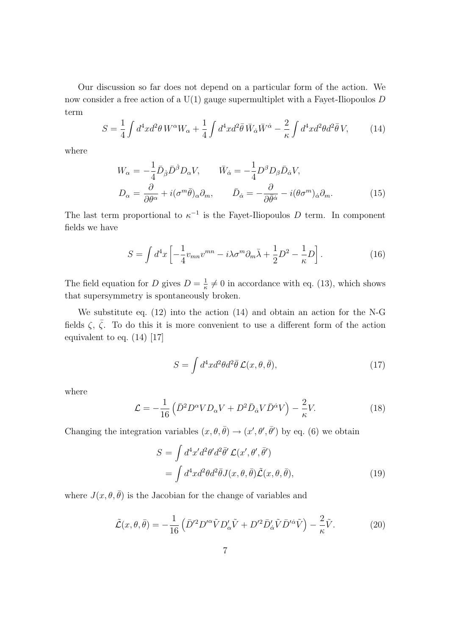Our discussion so far does not depend on a particular form of the action. We now consider a free action of a U(1) gauge supermultiplet with a Fayet-Iliopoulos *D* term

$$
S = \frac{1}{4} \int d^4x d^2\theta \, W^\alpha W_\alpha + \frac{1}{4} \int d^4x d^2\bar{\theta} \, \bar{W}_{\dot{\alpha}} \bar{W}^{\dot{\alpha}} - \frac{2}{\kappa} \int d^4x d^2\theta d^2\bar{\theta} \, V,\tag{14}
$$

where

$$
W_{\alpha} = -\frac{1}{4}\bar{D}_{\dot{\beta}}\bar{D}^{\dot{\beta}}D_{\alpha}V, \qquad \bar{W}_{\dot{\alpha}} = -\frac{1}{4}D^{\beta}D_{\beta}\bar{D}_{\dot{\alpha}}V,
$$

$$
D_{\alpha} = \frac{\partial}{\partial\theta^{\alpha}} + i(\sigma^{m}\bar{\theta})_{\alpha}\partial_{m}, \qquad \bar{D}_{\dot{\alpha}} = -\frac{\partial}{\partial\bar{\theta}^{\dot{\alpha}}} - i(\theta\sigma^{m})_{\dot{\alpha}}\partial_{m}.
$$
(15)

The last term proportional to  $\kappa^{-1}$  is the Fayet-Iliopoulos *D* term. In component fields we have

$$
S = \int d^4x \left[ -\frac{1}{4} v_{mn} v^{mn} - i\lambda \sigma^m \partial_m \bar{\lambda} + \frac{1}{2} D^2 - \frac{1}{\kappa} D \right]. \tag{16}
$$

The field equation for *D* gives  $D = \frac{1}{r}$  $\frac{1}{\kappa} \neq 0$  in accordance with eq. (13), which shows that supersymmetry is spontaneously broken.

We substitute eq. (12) into the action (14) and obtain an action for the N-G fields  $\zeta$ ,  $\overline{\zeta}$ . To do this it is more convenient to use a different form of the action equivalent to eq. (14) [17]

$$
S = \int d^4x d^2\theta d^2\bar{\theta} \mathcal{L}(x, \theta, \bar{\theta}), \qquad (17)
$$

where

$$
\mathcal{L} = -\frac{1}{16} \left( \bar{D}^2 D^\alpha V D_\alpha V + D^2 \bar{D}_{\dot{\alpha}} V \bar{D}^{\dot{\alpha}} V \right) - \frac{2}{\kappa} V. \tag{18}
$$

Changing the integration variables  $(x, \theta, \bar{\theta}) \rightarrow (x', \theta', \bar{\theta}')$  by eq. (6) we obtain

$$
S = \int d^4x' d^2\theta' d^2\bar{\theta}' \mathcal{L}(x', \theta', \bar{\theta}')
$$
  
= 
$$
\int d^4x d^2\theta d^2\bar{\theta} J(x, \theta, \bar{\theta}) \tilde{\mathcal{L}}(x, \theta, \bar{\theta}),
$$
 (19)

where  $J(x, \theta, \bar{\theta})$  is the Jacobian for the change of variables and

$$
\tilde{\mathcal{L}}(x,\theta,\bar{\theta}) = -\frac{1}{16} \left( \bar{D}'^2 D'^{\alpha} \tilde{V} D'_{\alpha} \tilde{V} + D'^2 \bar{D}'_{\dot{\alpha}} \tilde{V} \bar{D}'^{\dot{\alpha}} \tilde{V} \right) - \frac{2}{\kappa} \tilde{V}.
$$
 (20)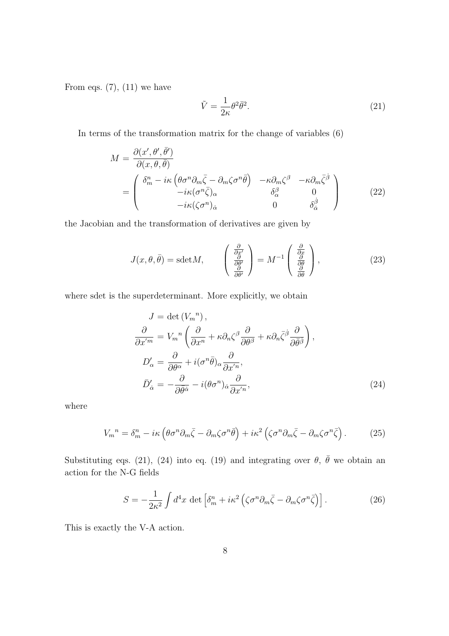From eqs.  $(7)$ ,  $(11)$  we have

$$
\tilde{V} = \frac{1}{2\kappa} \theta^2 \bar{\theta}^2. \tag{21}
$$

In terms of the transformation matrix for the change of variables (6)

$$
M = \frac{\partial(x', \theta', \bar{\theta}')}{\partial(x, \theta, \bar{\theta})}
$$
  
= 
$$
\begin{pmatrix} \delta_m^n - i\kappa \left( \theta \sigma^n \partial_m \bar{\zeta} - \partial_m \zeta \sigma^n \bar{\theta} \right) & -\kappa \partial_m \zeta^\beta & -\kappa \partial_m \bar{\zeta}^\beta \\ -i\kappa (\sigma^n \bar{\zeta})_\alpha & \delta_\alpha^\beta & 0 \\ -i\kappa (\zeta \sigma^n)_\alpha & 0 & \delta_\alpha^\beta \end{pmatrix}
$$
(22)

the Jacobian and the transformation of derivatives are given by

$$
J(x,\theta,\bar{\theta}) = \text{sdet}M, \qquad \begin{pmatrix} \frac{\partial}{\partial x'}\\ \frac{\partial}{\partial \theta'}\\ \frac{\partial}{\partial \theta'} \end{pmatrix} = M^{-1} \begin{pmatrix} \frac{\partial}{\partial x}\\ \frac{\partial}{\partial \theta}\\ \frac{\partial}{\partial \theta} \end{pmatrix}, \tag{23}
$$

where sdet is the superdeterminant. More explicitly, we obtain

$$
J = \det (V_m^n),
$$
  
\n
$$
\frac{\partial}{\partial x'^m} = V_m{}^n \left( \frac{\partial}{\partial x^n} + \kappa \partial_n \zeta^\beta \frac{\partial}{\partial \theta^\beta} + \kappa \partial_n \bar{\zeta}^\beta \frac{\partial}{\partial \bar{\theta}^\beta} \right),
$$
  
\n
$$
D_\alpha' = \frac{\partial}{\partial \theta^\alpha} + i(\sigma^n \bar{\theta})_\alpha \frac{\partial}{\partial x'^n},
$$
  
\n
$$
\bar{D}_\alpha' = -\frac{\partial}{\partial \bar{\theta}^\alpha} - i(\theta \sigma^n)_\alpha \frac{\partial}{\partial x'^n},
$$
\n(24)

where

$$
V_m^{\ n} = \delta_m^n - i\kappa \left( \theta \sigma^n \partial_m \bar{\zeta} - \partial_m \zeta \sigma^n \bar{\theta} \right) + i\kappa^2 \left( \zeta \sigma^n \partial_m \bar{\zeta} - \partial_m \zeta \sigma^n \bar{\zeta} \right). \tag{25}
$$

Substituting eqs. (21), (24) into eq. (19) and integrating over  $\theta$ ,  $\bar{\theta}$  we obtain an action for the N-G fields

$$
S = -\frac{1}{2\kappa^2} \int d^4x \, \det \left[ \delta_m^n + i\kappa^2 \left( \zeta \sigma^n \partial_m \bar{\zeta} - \partial_m \zeta \sigma^n \bar{\zeta} \right) \right]. \tag{26}
$$

This is exactly the V-A action.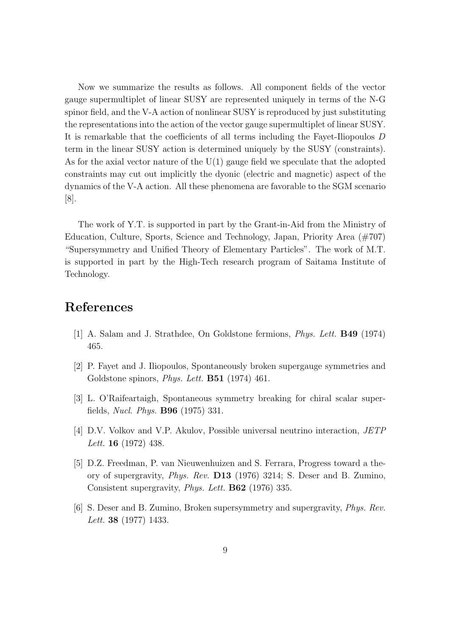Now we summarize the results as follows. All component fields of the vector gauge supermultiplet of linear SUSY are represented uniquely in terms of the N-G spinor field, and the V-A action of nonlinear SUSY is reproduced by just substituting the representations into the action of the vector gauge supermultiplet of linear SUSY. It is remarkable that the coefficients of all terms including the Fayet-Iliopoulos *D* term in the linear SUSY action is determined uniquely by the SUSY (constraints). As for the axial vector nature of the  $U(1)$  gauge field we speculate that the adopted constraints may cut out implicitly the dyonic (electric and magnetic) aspect of the dynamics of the V-A action. All these phenomena are favorable to the SGM scenario [8].

The work of Y.T. is supported in part by the Grant-in-Aid from the Ministry of Education, Culture, Sports, Science and Technology, Japan, Priority Area (#707) "Supersymmetry and Unified Theory of Elementary Particles". The work of M.T. is supported in part by the High-Tech research program of Saitama Institute of Technology.

## **References**

- [1] A. Salam and J. Strathdee, On Goldstone fermions, *Phys. Lett.* **B49** (1974) 465.
- [2] P. Fayet and J. Iliopoulos, Spontaneously broken supergauge symmetries and Goldstone spinors, *Phys. Lett.* **B51** (1974) 461.
- [3] L. O'Raifeartaigh, Spontaneous symmetry breaking for chiral scalar superfields, *Nucl. Phys.* **B96** (1975) 331.
- [4] D.V. Volkov and V.P. Akulov, Possible universal neutrino interaction, *JETP Lett.* **16** (1972) 438.
- [5] D.Z. Freedman, P. van Nieuwenhuizen and S. Ferrara, Progress toward a theory of supergravity, *Phys. Rev.* **D13** (1976) 3214; S. Deser and B. Zumino, Consistent supergravity, *Phys. Lett.* **B62** (1976) 335.
- [6] S. Deser and B. Zumino, Broken supersymmetry and supergravity, *Phys. Rev. Lett.* **38** (1977) 1433.